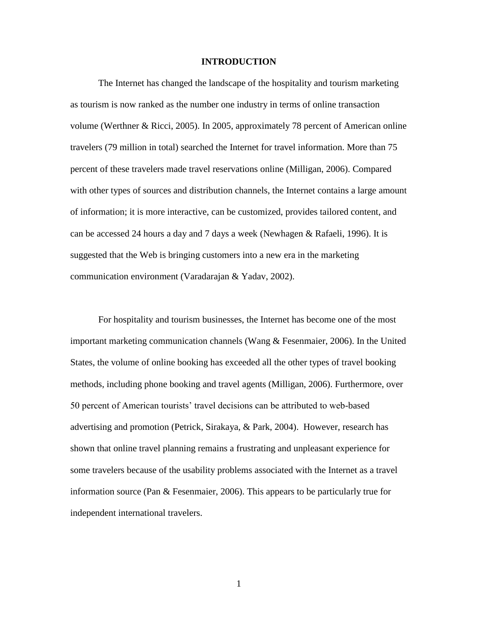#### **INTRODUCTION**

The Internet has changed the landscape of the hospitality and tourism marketing as tourism is now ranked as the number one industry in terms of online transaction volume (Werthner & Ricci, 2005). In 2005, approximately 78 percent of American online travelers (79 million in total) searched the Internet for travel information. More than 75 percent of these travelers made travel reservations online (Milligan, 2006). Compared with other types of sources and distribution channels, the Internet contains a large amount of information; it is more interactive, can be customized, provides tailored content, and can be accessed 24 hours a day and 7 days a week (Newhagen & Rafaeli, 1996). It is suggested that the Web is bringing customers into a new era in the marketing communication environment (Varadarajan & Yadav, 2002).

For hospitality and tourism businesses, the Internet has become one of the most important marketing communication channels (Wang & Fesenmaier, 2006). In the United States, the volume of online booking has exceeded all the other types of travel booking methods, including phone booking and travel agents (Milligan, 2006). Furthermore, over 50 percent of American tourists' travel decisions can be attributed to web-based advertising and promotion (Petrick, Sirakaya, & Park, 2004). However, research has shown that online travel planning remains a frustrating and unpleasant experience for some travelers because of the usability problems associated with the Internet as a travel information source (Pan & Fesenmaier, 2006). This appears to be particularly true for independent international travelers.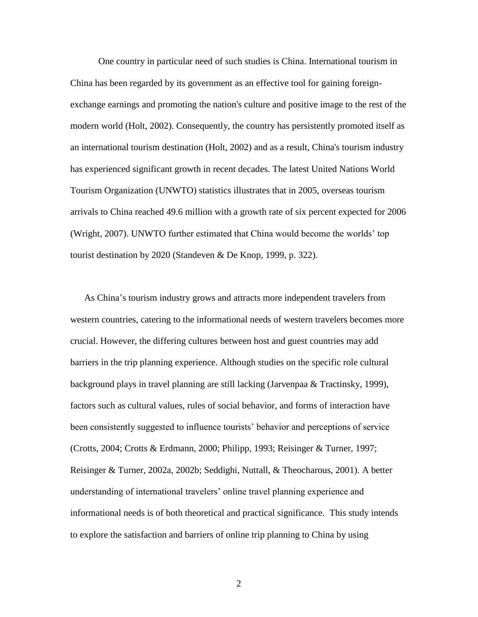One country in particular need of such studies is China. International tourism in China has been regarded by its government as an effective tool for gaining foreignexchange earnings and promoting the nation's culture and positive image to the rest of the modern world (Holt, 2002). Consequently, the country has persistently promoted itself as an international tourism destination (Holt, 2002) and as a result, China's tourism industry has experienced significant growth in recent decades. The latest United Nations World Tourism Organization (UNWTO) statistics illustrates that in 2005, overseas tourism arrivals to China reached 49.6 million with a growth rate of six percent expected for 2006 (Wright, 2007). UNWTO further estimated that China would become the worlds' top tourist destination by 2020 (Standeven & De Knop, 1999, p. 322).

As China's tourism industry grows and attracts more independent travelers from western countries, catering to the informational needs of western travelers becomes more crucial. However, the differing cultures between host and guest countries may add barriers in the trip planning experience. Although studies on the specific role cultural background plays in travel planning are still lacking (Jarvenpaa & Tractinsky, 1999), factors such as cultural values, rules of social behavior, and forms of interaction have been consistently suggested to influence tourists' behavior and perceptions of service (Crotts, 2004; Crotts & Erdmann, 2000; Philipp, 1993; Reisinger & Turner, 1997; Reisinger & Turner, 2002a, 2002b; Seddighi, Nuttall, & Theocharous, 2001). A better understanding of international travelers' online travel planning experience and informational needs is of both theoretical and practical significance. This study intends to explore the satisfaction and barriers of online trip planning to China by using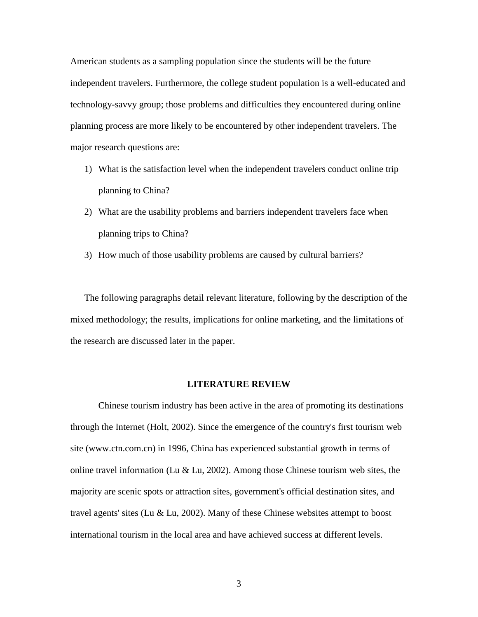American students as a sampling population since the students will be the future independent travelers. Furthermore, the college student population is a well-educated and technology-savvy group; those problems and difficulties they encountered during online planning process are more likely to be encountered by other independent travelers. The major research questions are:

- 1) What is the satisfaction level when the independent travelers conduct online trip planning to China?
- 2) What are the usability problems and barriers independent travelers face when planning trips to China?
- 3) How much of those usability problems are caused by cultural barriers?

The following paragraphs detail relevant literature, following by the description of the mixed methodology; the results, implications for online marketing, and the limitations of the research are discussed later in the paper.

#### **LITERATURE REVIEW**

Chinese tourism industry has been active in the area of promoting its destinations through the Internet (Holt, 2002). Since the emergence of the country's first tourism web site (www.ctn.com.cn) in 1996, China has experienced substantial growth in terms of online travel information (Lu & Lu, 2002). Among those Chinese tourism web sites, the majority are scenic spots or attraction sites, government's official destination sites, and travel agents' sites (Lu & Lu, 2002). Many of these Chinese websites attempt to boost international tourism in the local area and have achieved success at different levels.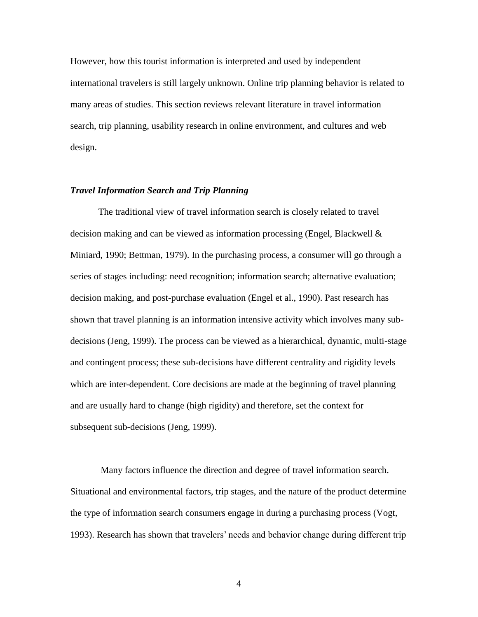However, how this tourist information is interpreted and used by independent international travelers is still largely unknown. Online trip planning behavior is related to many areas of studies. This section reviews relevant literature in travel information search, trip planning, usability research in online environment, and cultures and web design.

#### *Travel Information Search and Trip Planning*

The traditional view of travel information search is closely related to travel decision making and can be viewed as information processing (Engel, Blackwell & Miniard, 1990; Bettman, 1979). In the purchasing process, a consumer will go through a series of stages including: need recognition; information search; alternative evaluation; decision making, and post-purchase evaluation (Engel et al., 1990). Past research has shown that travel planning is an information intensive activity which involves many subdecisions (Jeng, 1999). The process can be viewed as a hierarchical, dynamic, multi-stage and contingent process; these sub-decisions have different centrality and rigidity levels which are inter-dependent. Core decisions are made at the beginning of travel planning and are usually hard to change (high rigidity) and therefore, set the context for subsequent sub-decisions (Jeng, 1999).

Many factors influence the direction and degree of travel information search. Situational and environmental factors, trip stages, and the nature of the product determine the type of information search consumers engage in during a purchasing process (Vogt, 1993). Research has shown that travelers' needs and behavior change during different trip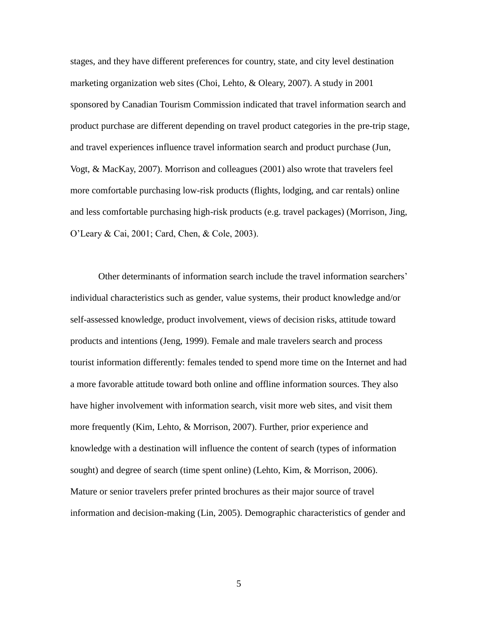stages, and they have different preferences for country, state, and city level destination marketing organization web sites (Choi, Lehto, & Oleary, 2007). A study in 2001 sponsored by Canadian Tourism Commission indicated that travel information search and product purchase are different depending on travel product categories in the pre-trip stage, and travel experiences influence travel information search and product purchase (Jun, Vogt, & MacKay, 2007). Morrison and colleagues (2001) also wrote that travelers feel more comfortable purchasing low-risk products (flights, lodging, and car rentals) online and less comfortable purchasing high-risk products (e.g. travel packages) (Morrison, Jing, O'Leary & Cai, 2001; Card, Chen, & Cole, 2003).

Other determinants of information search include the travel information searchers' individual characteristics such as gender, value systems, their product knowledge and/or self-assessed knowledge, product involvement, views of decision risks, attitude toward products and intentions (Jeng, 1999). Female and male travelers search and process tourist information differently: females tended to spend more time on the Internet and had a more favorable attitude toward both online and offline information sources. They also have higher involvement with information search, visit more web sites, and visit them more frequently (Kim, Lehto, & Morrison, 2007). Further, prior experience and knowledge with a destination will influence the content of search (types of information sought) and degree of search (time spent online) (Lehto, Kim, & Morrison, 2006). Mature or senior travelers prefer printed brochures as their major source of travel information and decision-making (Lin, 2005). Demographic characteristics of gender and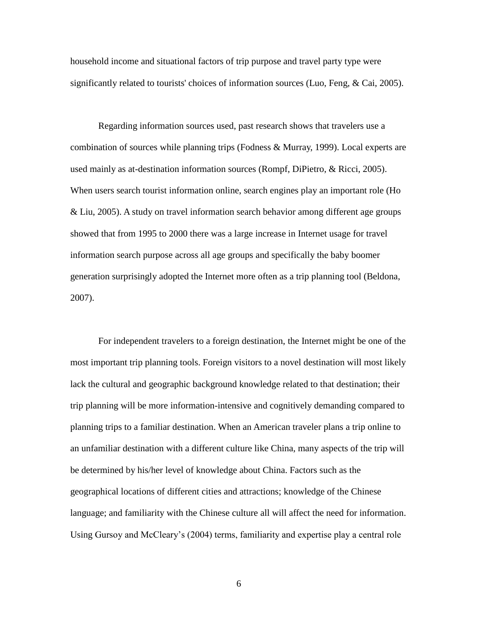household income and situational factors of trip purpose and travel party type were significantly related to tourists' choices of information sources (Luo, Feng, & Cai, 2005).

Regarding information sources used, past research shows that travelers use a combination of sources while planning trips (Fodness & Murray, 1999). Local experts are used mainly as at-destination information sources (Rompf, DiPietro, & Ricci, 2005). When users search tourist information online, search engines play an important role (Ho & Liu, 2005). A study on travel information search behavior among different age groups showed that from 1995 to 2000 there was a large increase in Internet usage for travel information search purpose across all age groups and specifically the baby boomer generation surprisingly adopted the Internet more often as a trip planning tool (Beldona, 2007).

For independent travelers to a foreign destination, the Internet might be one of the most important trip planning tools. Foreign visitors to a novel destination will most likely lack the cultural and geographic background knowledge related to that destination; their trip planning will be more information-intensive and cognitively demanding compared to planning trips to a familiar destination. When an American traveler plans a trip online to an unfamiliar destination with a different culture like China, many aspects of the trip will be determined by his/her level of knowledge about China. Factors such as the geographical locations of different cities and attractions; knowledge of the Chinese language; and familiarity with the Chinese culture all will affect the need for information. Using Gursoy and McCleary's (2004) terms, familiarity and expertise play a central role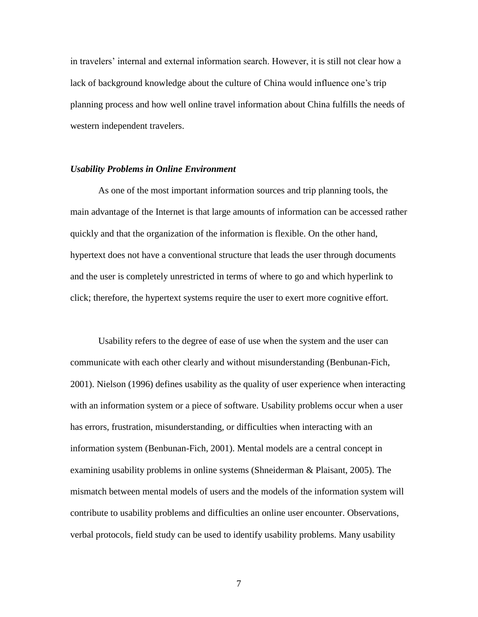in travelers' internal and external information search. However, it is still not clear how a lack of background knowledge about the culture of China would influence one's trip planning process and how well online travel information about China fulfills the needs of western independent travelers.

#### *Usability Problems in Online Environment*

As one of the most important information sources and trip planning tools, the main advantage of the Internet is that large amounts of information can be accessed rather quickly and that the organization of the information is flexible. On the other hand, hypertext does not have a conventional structure that leads the user through documents and the user is completely unrestricted in terms of where to go and which hyperlink to click; therefore, the hypertext systems require the user to exert more cognitive effort.

Usability refers to the degree of ease of use when the system and the user can communicate with each other clearly and without misunderstanding (Benbunan-Fich, 2001). Nielson (1996) defines usability as the quality of user experience when interacting with an information system or a piece of software. Usability problems occur when a user has errors, frustration, misunderstanding, or difficulties when interacting with an information system (Benbunan-Fich, 2001). Mental models are a central concept in examining usability problems in online systems (Shneiderman & Plaisant, 2005). The mismatch between mental models of users and the models of the information system will contribute to usability problems and difficulties an online user encounter. Observations, verbal protocols, field study can be used to identify usability problems. Many usability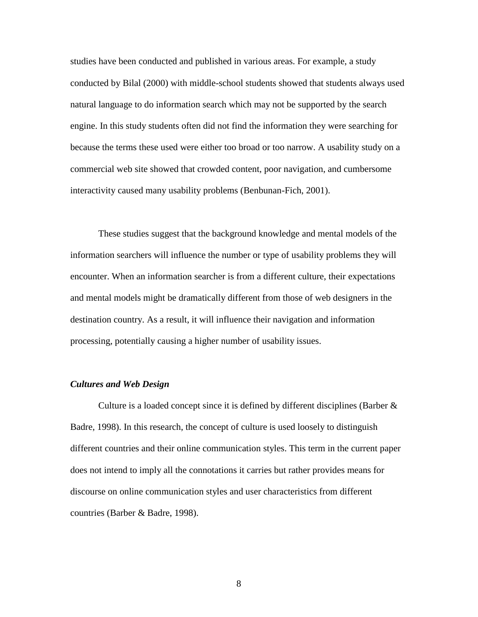studies have been conducted and published in various areas. For example, a study conducted by Bilal (2000) with middle-school students showed that students always used natural language to do information search which may not be supported by the search engine. In this study students often did not find the information they were searching for because the terms these used were either too broad or too narrow. A usability study on a commercial web site showed that crowded content, poor navigation, and cumbersome interactivity caused many usability problems (Benbunan-Fich, 2001).

These studies suggest that the background knowledge and mental models of the information searchers will influence the number or type of usability problems they will encounter. When an information searcher is from a different culture, their expectations and mental models might be dramatically different from those of web designers in the destination country. As a result, it will influence their navigation and information processing, potentially causing a higher number of usability issues.

## *Cultures and Web Design*

Culture is a loaded concept since it is defined by different disciplines (Barber & Badre, 1998). In this research, the concept of culture is used loosely to distinguish different countries and their online communication styles. This term in the current paper does not intend to imply all the connotations it carries but rather provides means for discourse on online communication styles and user characteristics from different countries (Barber & Badre, 1998).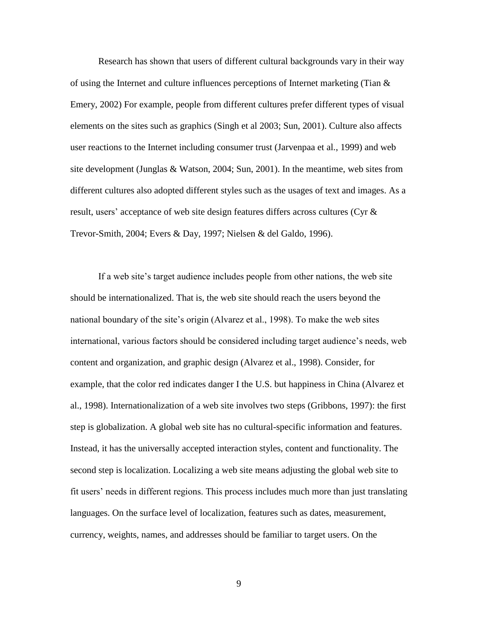Research has shown that users of different cultural backgrounds vary in their way of using the Internet and culture influences perceptions of Internet marketing (Tian & Emery, 2002) For example, people from different cultures prefer different types of visual elements on the sites such as graphics (Singh et al 2003; Sun, 2001). Culture also affects user reactions to the Internet including consumer trust (Jarvenpaa et al., 1999) and web site development (Junglas & Watson, 2004; Sun, 2001). In the meantime, web sites from different cultures also adopted different styles such as the usages of text and images. As a result, users' acceptance of web site design features differs across cultures (Cyr & Trevor-Smith, 2004; Evers & Day, 1997; Nielsen & del Galdo, 1996).

If a web site's target audience includes people from other nations, the web site should be internationalized. That is, the web site should reach the users beyond the national boundary of the site's origin (Alvarez et al., 1998). To make the web sites international, various factors should be considered including target audience's needs, web content and organization, and graphic design (Alvarez et al., 1998). Consider, for example, that the color red indicates danger I the U.S. but happiness in China (Alvarez et al., 1998). Internationalization of a web site involves two steps (Gribbons, 1997): the first step is globalization. A global web site has no cultural-specific information and features. Instead, it has the universally accepted interaction styles, content and functionality. The second step is localization. Localizing a web site means adjusting the global web site to fit users' needs in different regions. This process includes much more than just translating languages. On the surface level of localization, features such as dates, measurement, currency, weights, names, and addresses should be familiar to target users. On the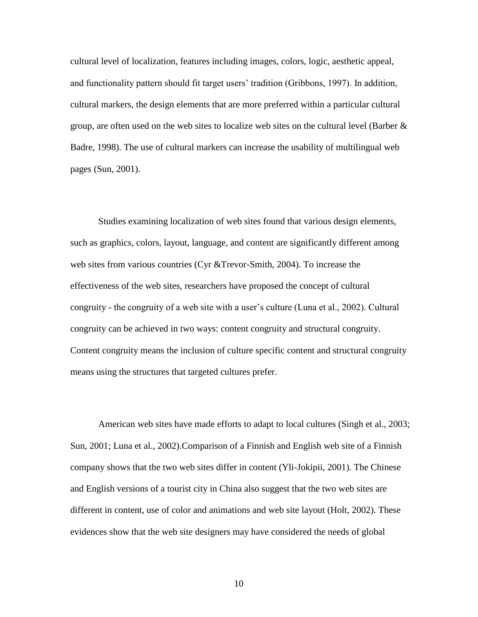cultural level of localization, features including images, colors, logic, aesthetic appeal, and functionality pattern should fit target users' tradition (Gribbons, 1997). In addition, cultural markers, the design elements that are more preferred within a particular cultural group, are often used on the web sites to localize web sites on the cultural level (Barber  $\&$ Badre, 1998). The use of cultural markers can increase the usability of multilingual web pages (Sun, 2001).

Studies examining localization of web sites found that various design elements, such as graphics, colors, layout, language, and content are significantly different among web sites from various countries (Cyr &Trevor-Smith, 2004). To increase the effectiveness of the web sites, researchers have proposed the concept of cultural congruity - the congruity of a web site with a user's culture (Luna et al., 2002). Cultural congruity can be achieved in two ways: content congruity and structural congruity. Content congruity means the inclusion of culture specific content and structural congruity means using the structures that targeted cultures prefer.

American web sites have made efforts to adapt to local cultures (Singh et al., 2003; Sun, 2001; Luna et al., 2002).Comparison of a Finnish and English web site of a Finnish company shows that the two web sites differ in content (Yli-Jokipii, 2001). The Chinese and English versions of a tourist city in China also suggest that the two web sites are different in content, use of color and animations and web site layout (Holt, 2002). These evidences show that the web site designers may have considered the needs of global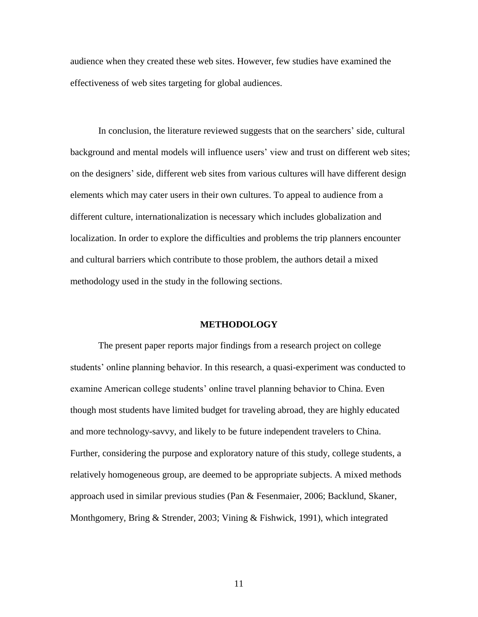audience when they created these web sites. However, few studies have examined the effectiveness of web sites targeting for global audiences.

In conclusion, the literature reviewed suggests that on the searchers' side, cultural background and mental models will influence users' view and trust on different web sites; on the designers' side, different web sites from various cultures will have different design elements which may cater users in their own cultures. To appeal to audience from a different culture, internationalization is necessary which includes globalization and localization. In order to explore the difficulties and problems the trip planners encounter and cultural barriers which contribute to those problem, the authors detail a mixed methodology used in the study in the following sections.

#### **METHODOLOGY**

The present paper reports major findings from a research project on college students' online planning behavior. In this research, a quasi-experiment was conducted to examine American college students' online travel planning behavior to China. Even though most students have limited budget for traveling abroad, they are highly educated and more technology-savvy, and likely to be future independent travelers to China. Further, considering the purpose and exploratory nature of this study, college students, a relatively homogeneous group, are deemed to be appropriate subjects. A mixed methods approach used in similar previous studies (Pan & Fesenmaier, 2006; Backlund, Skaner, Monthgomery, Bring & Strender, 2003; Vining & Fishwick, 1991), which integrated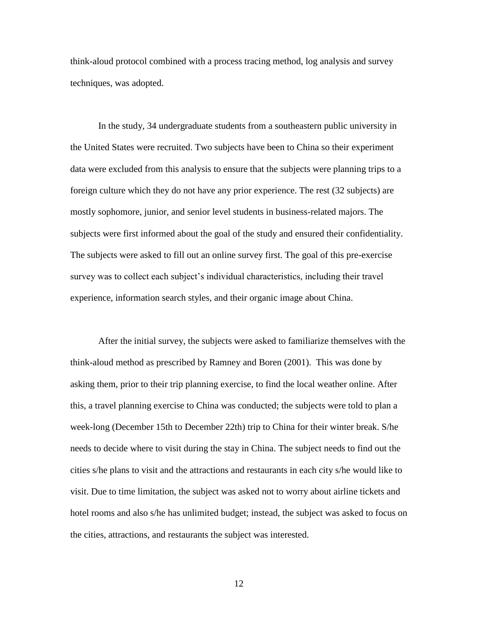think-aloud protocol combined with a process tracing method, log analysis and survey techniques, was adopted.

In the study, 34 undergraduate students from a southeastern public university in the United States were recruited. Two subjects have been to China so their experiment data were excluded from this analysis to ensure that the subjects were planning trips to a foreign culture which they do not have any prior experience. The rest (32 subjects) are mostly sophomore, junior, and senior level students in business-related majors. The subjects were first informed about the goal of the study and ensured their confidentiality. The subjects were asked to fill out an online survey first. The goal of this pre-exercise survey was to collect each subject's individual characteristics, including their travel experience, information search styles, and their organic image about China.

After the initial survey, the subjects were asked to familiarize themselves with the think-aloud method as prescribed by Ramney and Boren (2001). This was done by asking them, prior to their trip planning exercise, to find the local weather online. After this, a travel planning exercise to China was conducted; the subjects were told to plan a week-long (December 15th to December 22th) trip to China for their winter break. S/he needs to decide where to visit during the stay in China. The subject needs to find out the cities s/he plans to visit and the attractions and restaurants in each city s/he would like to visit. Due to time limitation, the subject was asked not to worry about airline tickets and hotel rooms and also s/he has unlimited budget; instead, the subject was asked to focus on the cities, attractions, and restaurants the subject was interested.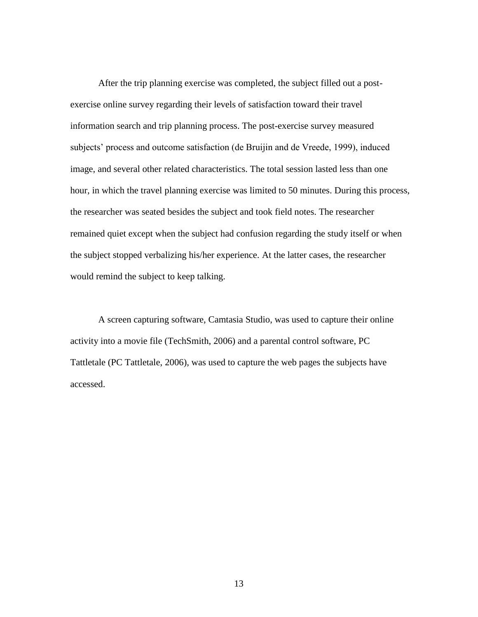After the trip planning exercise was completed, the subject filled out a postexercise online survey regarding their levels of satisfaction toward their travel information search and trip planning process. The post-exercise survey measured subjects' process and outcome satisfaction (de Bruijin and de Vreede, 1999), induced image, and several other related characteristics. The total session lasted less than one hour, in which the travel planning exercise was limited to 50 minutes. During this process, the researcher was seated besides the subject and took field notes. The researcher remained quiet except when the subject had confusion regarding the study itself or when the subject stopped verbalizing his/her experience. At the latter cases, the researcher would remind the subject to keep talking.

A screen capturing software, Camtasia Studio, was used to capture their online activity into a movie file (TechSmith, 2006) and a parental control software, PC Tattletale (PC Tattletale, 2006), was used to capture the web pages the subjects have accessed.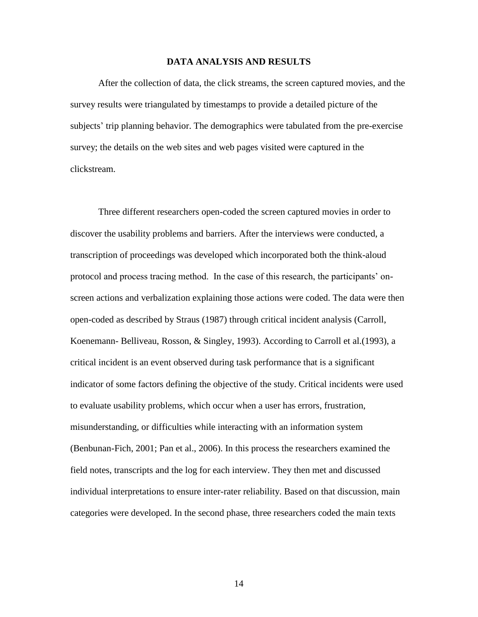#### **DATA ANALYSIS AND RESULTS**

After the collection of data, the click streams, the screen captured movies, and the survey results were triangulated by timestamps to provide a detailed picture of the subjects' trip planning behavior. The demographics were tabulated from the pre-exercise survey; the details on the web sites and web pages visited were captured in the clickstream.

Three different researchers open-coded the screen captured movies in order to discover the usability problems and barriers. After the interviews were conducted, a transcription of proceedings was developed which incorporated both the think-aloud protocol and process tracing method. In the case of this research, the participants' onscreen actions and verbalization explaining those actions were coded. The data were then open-coded as described by Straus (1987) through critical incident analysis (Carroll, Koenemann- Belliveau, Rosson, & Singley, 1993). According to Carroll et al.(1993), a critical incident is an event observed during task performance that is a significant indicator of some factors defining the objective of the study. Critical incidents were used to evaluate usability problems, which occur when a user has errors, frustration, misunderstanding, or difficulties while interacting with an information system (Benbunan-Fich, 2001; Pan et al., 2006). In this process the researchers examined the field notes, transcripts and the log for each interview. They then met and discussed individual interpretations to ensure inter-rater reliability. Based on that discussion, main categories were developed. In the second phase, three researchers coded the main texts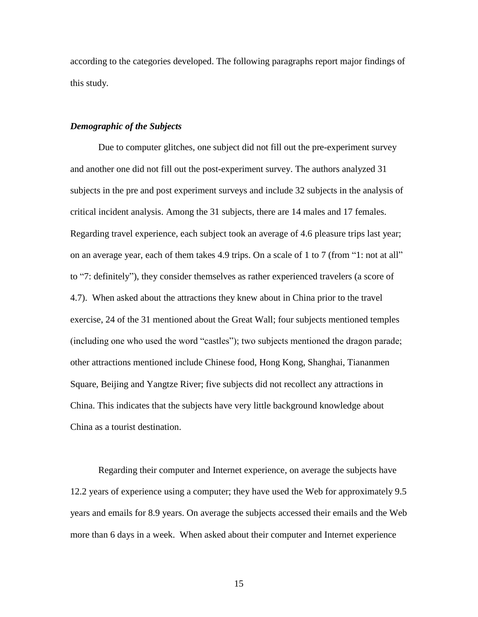according to the categories developed. The following paragraphs report major findings of this study.

#### *Demographic of the Subjects*

Due to computer glitches, one subject did not fill out the pre-experiment survey and another one did not fill out the post-experiment survey. The authors analyzed 31 subjects in the pre and post experiment surveys and include 32 subjects in the analysis of critical incident analysis. Among the 31 subjects, there are 14 males and 17 females. Regarding travel experience, each subject took an average of 4.6 pleasure trips last year; on an average year, each of them takes 4.9 trips. On a scale of 1 to 7 (from "1: not at all" to "7: definitely"), they consider themselves as rather experienced travelers (a score of 4.7). When asked about the attractions they knew about in China prior to the travel exercise, 24 of the 31 mentioned about the Great Wall; four subjects mentioned temples (including one who used the word "castles"); two subjects mentioned the dragon parade; other attractions mentioned include Chinese food, Hong Kong, Shanghai, Tiananmen Square, Beijing and Yangtze River; five subjects did not recollect any attractions in China. This indicates that the subjects have very little background knowledge about China as a tourist destination.

Regarding their computer and Internet experience, on average the subjects have 12.2 years of experience using a computer; they have used the Web for approximately 9.5 years and emails for 8.9 years. On average the subjects accessed their emails and the Web more than 6 days in a week. When asked about their computer and Internet experience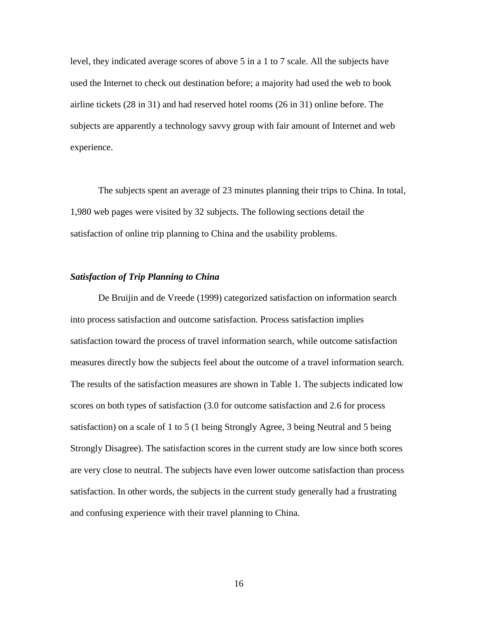level, they indicated average scores of above 5 in a 1 to 7 scale. All the subjects have used the Internet to check out destination before; a majority had used the web to book airline tickets (28 in 31) and had reserved hotel rooms (26 in 31) online before. The subjects are apparently a technology savvy group with fair amount of Internet and web experience.

The subjects spent an average of 23 minutes planning their trips to China. In total, 1,980 web pages were visited by 32 subjects. The following sections detail the satisfaction of online trip planning to China and the usability problems.

## *Satisfaction of Trip Planning to China*

De Bruijin and de Vreede (1999) categorized satisfaction on information search into process satisfaction and outcome satisfaction. Process satisfaction implies satisfaction toward the process of travel information search, while outcome satisfaction measures directly how the subjects feel about the outcome of a travel information search. The results of the satisfaction measures are shown in Table 1. The subjects indicated low scores on both types of satisfaction (3.0 for outcome satisfaction and 2.6 for process satisfaction) on a scale of 1 to 5 (1 being Strongly Agree, 3 being Neutral and 5 being Strongly Disagree). The satisfaction scores in the current study are low since both scores are very close to neutral. The subjects have even lower outcome satisfaction than process satisfaction. In other words, the subjects in the current study generally had a frustrating and confusing experience with their travel planning to China.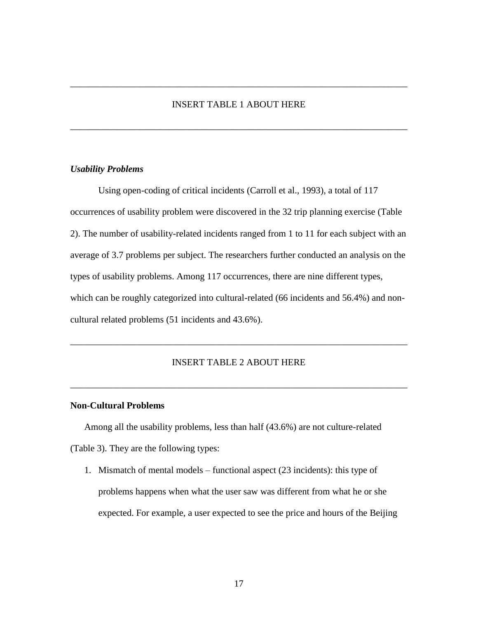# INSERT TABLE 1 ABOUT HERE

\_\_\_\_\_\_\_\_\_\_\_\_\_\_\_\_\_\_\_\_\_\_\_\_\_\_\_\_\_\_\_\_\_\_\_\_\_\_\_\_\_\_\_\_\_\_\_\_\_\_\_\_\_\_\_\_\_\_\_\_\_\_\_\_\_\_\_\_\_\_\_\_

\_\_\_\_\_\_\_\_\_\_\_\_\_\_\_\_\_\_\_\_\_\_\_\_\_\_\_\_\_\_\_\_\_\_\_\_\_\_\_\_\_\_\_\_\_\_\_\_\_\_\_\_\_\_\_\_\_\_\_\_\_\_\_\_\_\_\_\_\_\_\_\_

## *Usability Problems*

Using open-coding of critical incidents (Carroll et al., 1993), a total of 117 occurrences of usability problem were discovered in the 32 trip planning exercise (Table 2). The number of usability-related incidents ranged from 1 to 11 for each subject with an average of 3.7 problems per subject. The researchers further conducted an analysis on the types of usability problems. Among 117 occurrences, there are nine different types, which can be roughly categorized into cultural-related (66 incidents and 56.4%) and noncultural related problems (51 incidents and 43.6%).

# INSERT TABLE 2 ABOUT HERE

\_\_\_\_\_\_\_\_\_\_\_\_\_\_\_\_\_\_\_\_\_\_\_\_\_\_\_\_\_\_\_\_\_\_\_\_\_\_\_\_\_\_\_\_\_\_\_\_\_\_\_\_\_\_\_\_\_\_\_\_\_\_\_\_\_\_\_\_\_\_\_\_

\_\_\_\_\_\_\_\_\_\_\_\_\_\_\_\_\_\_\_\_\_\_\_\_\_\_\_\_\_\_\_\_\_\_\_\_\_\_\_\_\_\_\_\_\_\_\_\_\_\_\_\_\_\_\_\_\_\_\_\_\_\_\_\_\_\_\_\_\_\_\_\_

#### **Non-Cultural Problems**

Among all the usability problems, less than half (43.6%) are not culture-related (Table 3). They are the following types:

1. Mismatch of mental models – functional aspect (23 incidents): this type of problems happens when what the user saw was different from what he or she expected. For example, a user expected to see the price and hours of the Beijing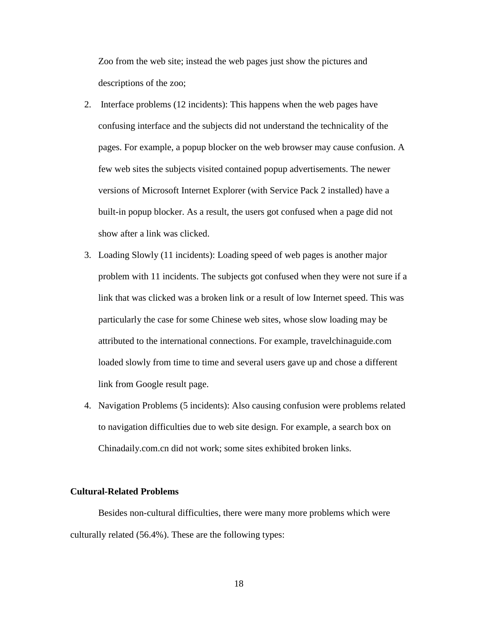Zoo from the web site; instead the web pages just show the pictures and descriptions of the zoo;

- 2. Interface problems (12 incidents): This happens when the web pages have confusing interface and the subjects did not understand the technicality of the pages. For example, a popup blocker on the web browser may cause confusion. A few web sites the subjects visited contained popup advertisements. The newer versions of Microsoft Internet Explorer (with Service Pack 2 installed) have a built-in popup blocker. As a result, the users got confused when a page did not show after a link was clicked.
- 3. Loading Slowly (11 incidents): Loading speed of web pages is another major problem with 11 incidents. The subjects got confused when they were not sure if a link that was clicked was a broken link or a result of low Internet speed. This was particularly the case for some Chinese web sites, whose slow loading may be attributed to the international connections. For example, travelchinaguide.com loaded slowly from time to time and several users gave up and chose a different link from Google result page.
- 4. Navigation Problems (5 incidents): Also causing confusion were problems related to navigation difficulties due to web site design. For example, a search box on Chinadaily.com.cn did not work; some sites exhibited broken links.

#### **Cultural-Related Problems**

Besides non-cultural difficulties, there were many more problems which were culturally related (56.4%). These are the following types: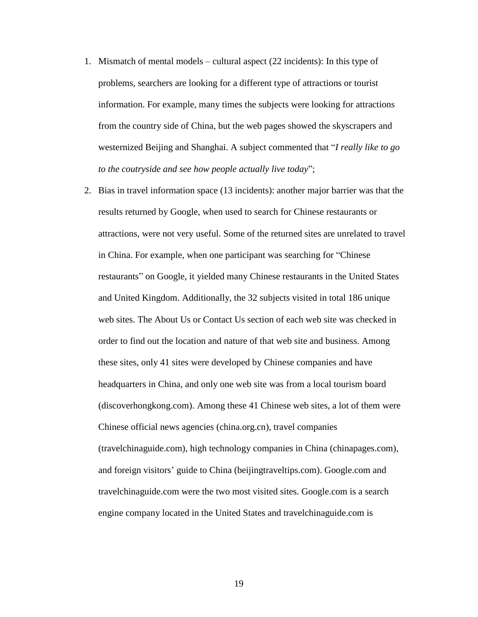- 1. Mismatch of mental models cultural aspect (22 incidents): In this type of problems, searchers are looking for a different type of attractions or tourist information. For example, many times the subjects were looking for attractions from the country side of China, but the web pages showed the skyscrapers and westernized Beijing and Shanghai. A subject commented that "*I really like to go to the coutryside and see how people actually live today*";
- 2. Bias in travel information space (13 incidents): another major barrier was that the results returned by Google, when used to search for Chinese restaurants or attractions, were not very useful. Some of the returned sites are unrelated to travel in China. For example, when one participant was searching for "Chinese restaurants" on Google, it yielded many Chinese restaurants in the United States and United Kingdom. Additionally, the 32 subjects visited in total 186 unique web sites. The About Us or Contact Us section of each web site was checked in order to find out the location and nature of that web site and business. Among these sites, only 41 sites were developed by Chinese companies and have headquarters in China, and only one web site was from a local tourism board (discoverhongkong.com). Among these 41 Chinese web sites, a lot of them were Chinese official news agencies (china.org.cn), travel companies (travelchinaguide.com), high technology companies in China (chinapages.com), and foreign visitors' guide to China (beijingtraveltips.com). Google.com and travelchinaguide.com were the two most visited sites. Google.com is a search engine company located in the United States and travelchinaguide.com is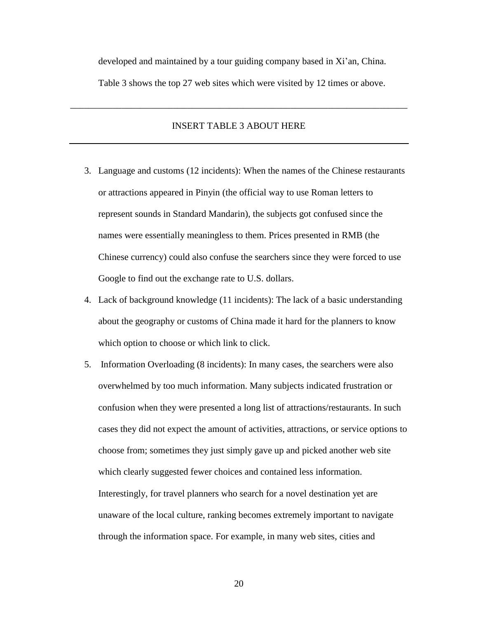developed and maintained by a tour guiding company based in Xi'an, China.

Table 3 shows the top 27 web sites which were visited by 12 times or above.

## INSERT TABLE 3 ABOUT HERE

\_\_\_\_\_\_\_\_\_\_\_\_\_\_\_\_\_\_\_\_\_\_\_\_\_\_\_\_\_\_\_\_\_\_\_\_\_\_\_\_\_\_\_\_\_\_\_\_\_\_\_\_\_\_\_\_\_\_\_\_\_\_\_\_\_\_\_\_\_\_\_\_

- 3. Language and customs (12 incidents): When the names of the Chinese restaurants or attractions appeared in Pinyin (the official way to use Roman letters to represent sounds in Standard Mandarin), the subjects got confused since the names were essentially meaningless to them. Prices presented in RMB (the Chinese currency) could also confuse the searchers since they were forced to use Google to find out the exchange rate to U.S. dollars.
- 4. Lack of background knowledge (11 incidents): The lack of a basic understanding about the geography or customs of China made it hard for the planners to know which option to choose or which link to click.
- 5. Information Overloading (8 incidents): In many cases, the searchers were also overwhelmed by too much information. Many subjects indicated frustration or confusion when they were presented a long list of attractions/restaurants. In such cases they did not expect the amount of activities, attractions, or service options to choose from; sometimes they just simply gave up and picked another web site which clearly suggested fewer choices and contained less information. Interestingly, for travel planners who search for a novel destination yet are unaware of the local culture, ranking becomes extremely important to navigate through the information space. For example, in many web sites, cities and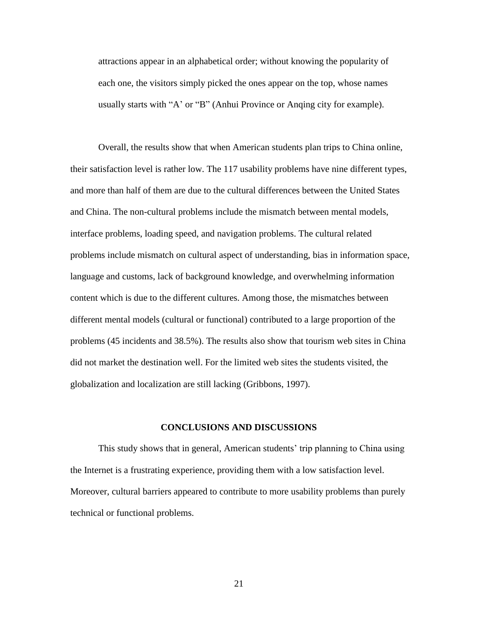attractions appear in an alphabetical order; without knowing the popularity of each one, the visitors simply picked the ones appear on the top, whose names usually starts with "A' or "B" (Anhui Province or Anqing city for example).

Overall, the results show that when American students plan trips to China online, their satisfaction level is rather low. The 117 usability problems have nine different types, and more than half of them are due to the cultural differences between the United States and China. The non-cultural problems include the mismatch between mental models, interface problems, loading speed, and navigation problems. The cultural related problems include mismatch on cultural aspect of understanding, bias in information space, language and customs, lack of background knowledge, and overwhelming information content which is due to the different cultures. Among those, the mismatches between different mental models (cultural or functional) contributed to a large proportion of the problems (45 incidents and 38.5%). The results also show that tourism web sites in China did not market the destination well. For the limited web sites the students visited, the globalization and localization are still lacking (Gribbons, 1997).

#### **CONCLUSIONS AND DISCUSSIONS**

This study shows that in general, American students' trip planning to China using the Internet is a frustrating experience, providing them with a low satisfaction level. Moreover, cultural barriers appeared to contribute to more usability problems than purely technical or functional problems.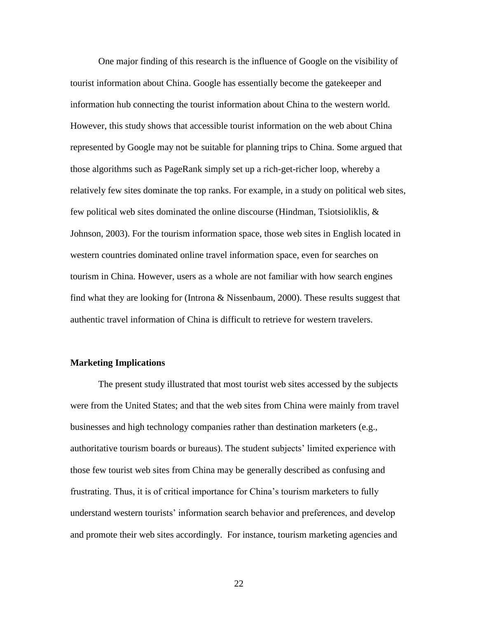One major finding of this research is the influence of Google on the visibility of tourist information about China. Google has essentially become the gatekeeper and information hub connecting the tourist information about China to the western world. However, this study shows that accessible tourist information on the web about China represented by Google may not be suitable for planning trips to China. Some argued that those algorithms such as PageRank simply set up a rich-get-richer loop, whereby a relatively few sites dominate the top ranks. For example, in a study on political web sites, few political web sites dominated the online discourse (Hindman, Tsiotsioliklis, & Johnson, 2003). For the tourism information space, those web sites in English located in western countries dominated online travel information space, even for searches on tourism in China. However, users as a whole are not familiar with how search engines find what they are looking for (Introna & Nissenbaum, 2000). These results suggest that authentic travel information of China is difficult to retrieve for western travelers.

#### **Marketing Implications**

The present study illustrated that most tourist web sites accessed by the subjects were from the United States; and that the web sites from China were mainly from travel businesses and high technology companies rather than destination marketers (e.g., authoritative tourism boards or bureaus). The student subjects' limited experience with those few tourist web sites from China may be generally described as confusing and frustrating. Thus, it is of critical importance for China's tourism marketers to fully understand western tourists' information search behavior and preferences, and develop and promote their web sites accordingly. For instance, tourism marketing agencies and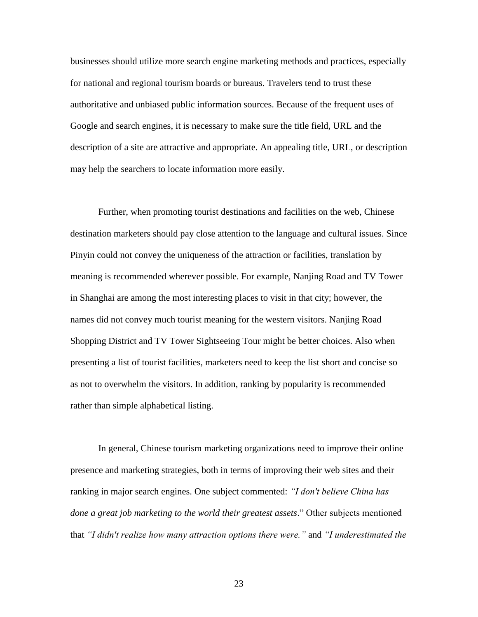businesses should utilize more search engine marketing methods and practices, especially for national and regional tourism boards or bureaus. Travelers tend to trust these authoritative and unbiased public information sources. Because of the frequent uses of Google and search engines, it is necessary to make sure the title field, URL and the description of a site are attractive and appropriate. An appealing title, URL, or description may help the searchers to locate information more easily.

Further, when promoting tourist destinations and facilities on the web, Chinese destination marketers should pay close attention to the language and cultural issues. Since Pinyin could not convey the uniqueness of the attraction or facilities, translation by meaning is recommended wherever possible. For example, Nanjing Road and TV Tower in Shanghai are among the most interesting places to visit in that city; however, the names did not convey much tourist meaning for the western visitors. Nanjing Road Shopping District and TV Tower Sightseeing Tour might be better choices. Also when presenting a list of tourist facilities, marketers need to keep the list short and concise so as not to overwhelm the visitors. In addition, ranking by popularity is recommended rather than simple alphabetical listing.

In general, Chinese tourism marketing organizations need to improve their online presence and marketing strategies, both in terms of improving their web sites and their ranking in major search engines. One subject commented: *"I don't believe China has done a great job marketing to the world their greatest assets*." Other subjects mentioned that *"I didn't realize how many attraction options there were."* and *"I underestimated the*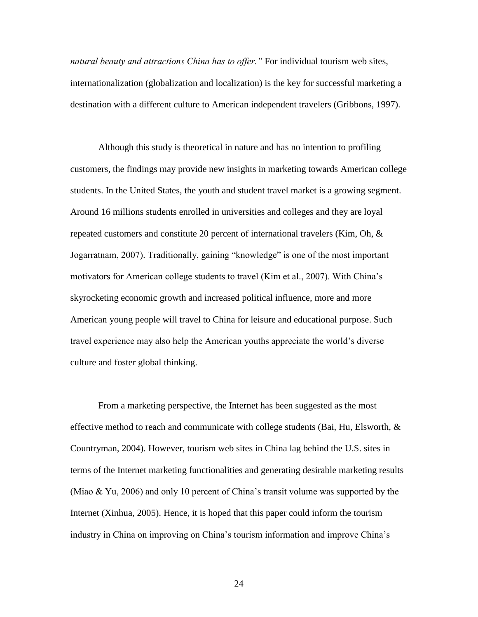*natural beauty and attractions China has to offer."* For individual tourism web sites, internationalization (globalization and localization) is the key for successful marketing a destination with a different culture to American independent travelers (Gribbons, 1997).

Although this study is theoretical in nature and has no intention to profiling customers, the findings may provide new insights in marketing towards American college students. In the United States, the youth and student travel market is a growing segment. Around 16 millions students enrolled in universities and colleges and they are loyal repeated customers and constitute 20 percent of international travelers (Kim, Oh, & Jogarratnam, 2007). Traditionally, gaining "knowledge" is one of the most important motivators for American college students to travel (Kim et al., 2007). With China's skyrocketing economic growth and increased political influence, more and more American young people will travel to China for leisure and educational purpose. Such travel experience may also help the American youths appreciate the world's diverse culture and foster global thinking.

From a marketing perspective, the Internet has been suggested as the most effective method to reach and communicate with college students (Bai, Hu, Elsworth,  $\&$ Countryman, 2004). However, tourism web sites in China lag behind the U.S. sites in terms of the Internet marketing functionalities and generating desirable marketing results (Miao & Yu, 2006) and only 10 percent of China's transit volume was supported by the Internet (Xinhua, 2005). Hence, it is hoped that this paper could inform the tourism industry in China on improving on China's tourism information and improve China's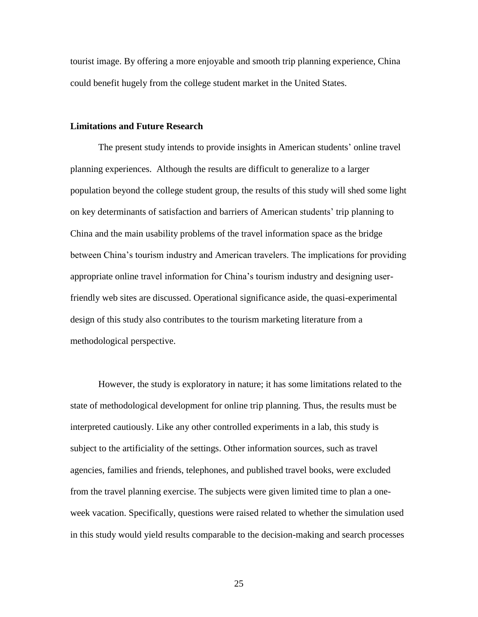tourist image. By offering a more enjoyable and smooth trip planning experience, China could benefit hugely from the college student market in the United States.

#### **Limitations and Future Research**

The present study intends to provide insights in American students' online travel planning experiences. Although the results are difficult to generalize to a larger population beyond the college student group, the results of this study will shed some light on key determinants of satisfaction and barriers of American students' trip planning to China and the main usability problems of the travel information space as the bridge between China's tourism industry and American travelers. The implications for providing appropriate online travel information for China's tourism industry and designing userfriendly web sites are discussed. Operational significance aside, the quasi-experimental design of this study also contributes to the tourism marketing literature from a methodological perspective.

However, the study is exploratory in nature; it has some limitations related to the state of methodological development for online trip planning. Thus, the results must be interpreted cautiously. Like any other controlled experiments in a lab, this study is subject to the artificiality of the settings. Other information sources, such as travel agencies, families and friends, telephones, and published travel books, were excluded from the travel planning exercise. The subjects were given limited time to plan a oneweek vacation. Specifically, questions were raised related to whether the simulation used in this study would yield results comparable to the decision-making and search processes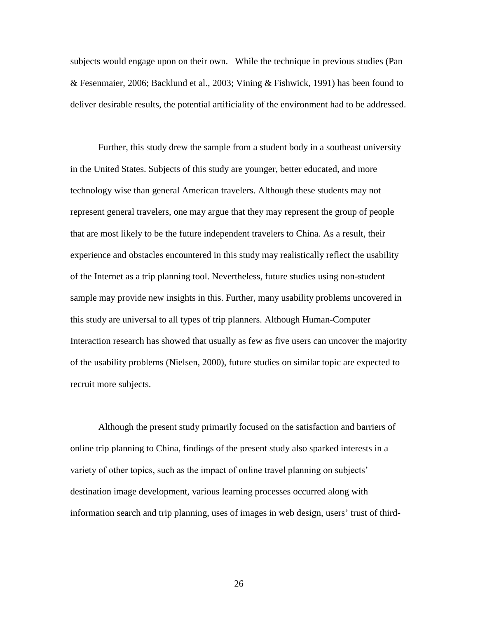subjects would engage upon on their own. While the technique in previous studies (Pan & Fesenmaier, 2006; Backlund et al., 2003; Vining & Fishwick, 1991) has been found to deliver desirable results, the potential artificiality of the environment had to be addressed.

Further, this study drew the sample from a student body in a southeast university in the United States. Subjects of this study are younger, better educated, and more technology wise than general American travelers. Although these students may not represent general travelers, one may argue that they may represent the group of people that are most likely to be the future independent travelers to China. As a result, their experience and obstacles encountered in this study may realistically reflect the usability of the Internet as a trip planning tool. Nevertheless, future studies using non-student sample may provide new insights in this. Further, many usability problems uncovered in this study are universal to all types of trip planners. Although Human-Computer Interaction research has showed that usually as few as five users can uncover the majority of the usability problems (Nielsen, 2000), future studies on similar topic are expected to recruit more subjects.

Although the present study primarily focused on the satisfaction and barriers of online trip planning to China, findings of the present study also sparked interests in a variety of other topics, such as the impact of online travel planning on subjects' destination image development, various learning processes occurred along with information search and trip planning, uses of images in web design, users' trust of third-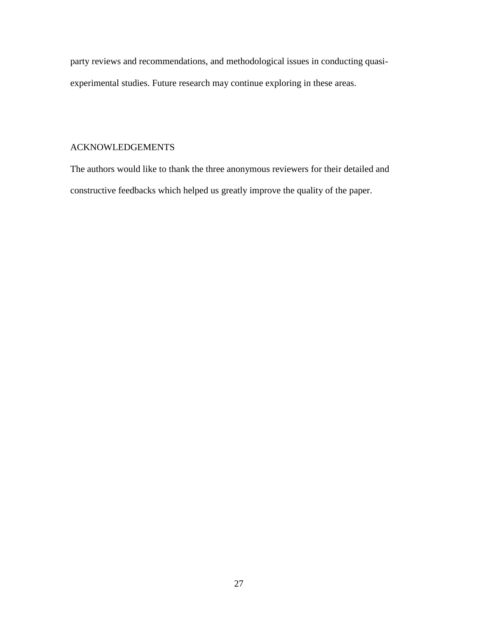party reviews and recommendations, and methodological issues in conducting quasiexperimental studies. Future research may continue exploring in these areas.

# ACKNOWLEDGEMENTS

The authors would like to thank the three anonymous reviewers for their detailed and constructive feedbacks which helped us greatly improve the quality of the paper.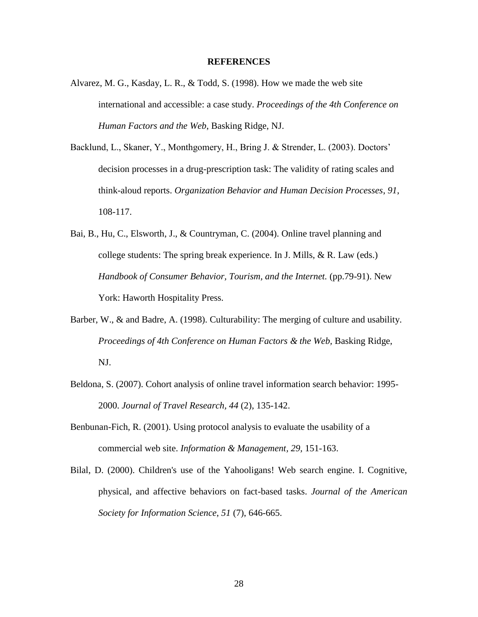#### **REFERENCES**

- Alvarez, M. G., Kasday, L. R., & Todd, S. (1998). How we made the web site international and accessible: a case study. *Proceedings of the 4th Conference on Human Factors and the Web*, Basking Ridge, NJ.
- Backlund, L., Skaner, Y., Monthgomery, H., Bring J. & Strender, L. (2003). Doctors' decision processes in a drug-prescription task: The validity of rating scales and think-aloud reports. *Organization Behavior and Human Decision Processes*, *91*, 108-117.
- Bai, B., Hu, C., Elsworth, J., & Countryman, C. (2004). Online travel planning and college students: The spring break experience. In J. Mills, & R. Law (eds.) *Handbook of Consumer Behavior, Tourism, and the Internet.* (pp.79-91). New York: Haworth Hospitality Press.
- Barber, W., & and Badre, A. (1998). Culturability: The merging of culture and usability. *Proceedings of 4th Conference on Human Factors & the Web,* Basking Ridge, NJ.
- Beldona, S. (2007). Cohort analysis of online travel information search behavior: 1995- 2000. *Journal of Travel Research, 44* (2), 135-142.
- Benbunan-Fich, R. (2001). Using protocol analysis to evaluate the usability of a commercial web site. *Information & Management, 29,* 151-163.
- Bilal, D. (2000). Children's use of the Yahooligans! Web search engine. I. Cognitive, physical, and affective behaviors on fact-based tasks. *Journal of the American Society for Information Science*, *51* (7), 646-665.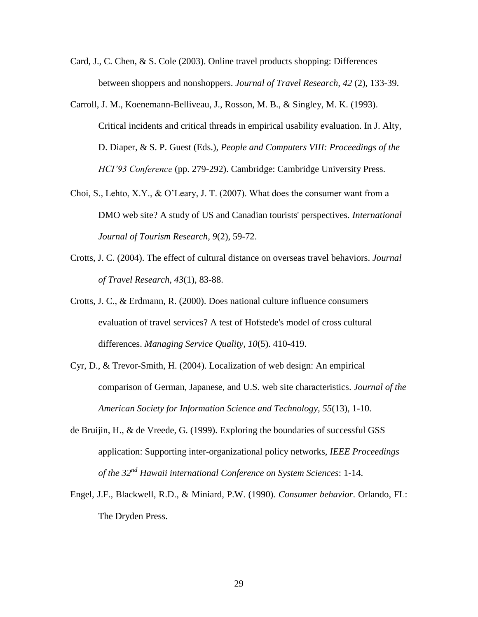- Card, J., C. Chen, & S. Cole (2003). Online travel products shopping: Differences between shoppers and nonshoppers. *Journal of Travel Research, 42* (2), 133-39.
- Carroll, J. M., Koenemann-Belliveau, J., Rosson, M. B., & Singley, M. K. (1993). Critical incidents and critical threads in empirical usability evaluation. In J. Alty, D. Diaper, & S. P. Guest (Eds.), *People and Computers VIII: Proceedings of the HCI'93 Conference* (pp. 279-292). Cambridge: Cambridge University Press.
- Choi, S., Lehto, X.Y., & O'Leary, J. T. (2007). What does the consumer want from a DMO web site? A study of US and Canadian tourists' perspectives. *International Journal of Tourism Research, 9*(2), 59-72.
- Crotts, J. C. (2004). The effect of cultural distance on overseas travel behaviors. *Journal of Travel Research, 43*(1), 83-88.
- Crotts, J. C., & Erdmann, R. (2000). Does national culture influence consumers evaluation of travel services? A test of Hofstede's model of cross cultural differences. *Managing Service Quality, 10*(5). 410-419.
- Cyr, D., & Trevor-Smith, H. (2004). Localization of web design: An empirical comparison of German, Japanese, and U.S. web site characteristics. *Journal of the American Society for Information Science and Technology, 55*(13), 1-10.
- de Bruijin, H., & de Vreede, G. (1999). Exploring the boundaries of successful GSS application: Supporting inter-organizational policy networks, *IEEE Proceedings of the 32nd Hawaii international Conference on System Sciences*: 1-14.
- Engel, J.F., Blackwell, R.D., & Miniard, P.W. (1990). *Consumer behavior*. Orlando, FL: The Dryden Press.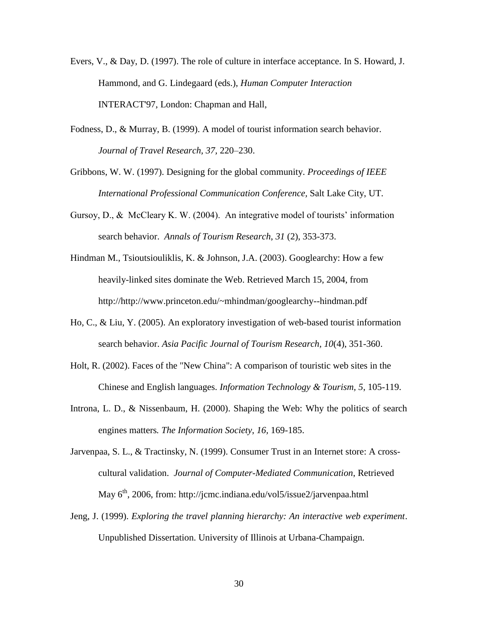- Evers, V., & Day, D. (1997). The role of culture in interface acceptance. In S. Howard, J. Hammond, and G. Lindegaard (eds.), *Human Computer Interaction* INTERACT'97, London: Chapman and Hall,
- Fodness, D., & Murray, B. (1999). A model of tourist information search behavior. *Journal of Travel Research, 37,* 220–230.

Gribbons, W. W. (1997). Designing for the global community. *Proceedings of IEEE International Professional Communication Conference,* Salt Lake City, UT.

- Gursoy, D., & McCleary K. W. (2004). An integrative model of tourists' information search behavior. *Annals of Tourism Research*, *31* (2), 353-373.
- Hindman M., Tsioutsiouliklis, K. & Johnson, J.A. (2003). Googlearchy: How a few heavily-linked sites dominate the Web. Retrieved March 15, 2004, from [http://http://www.princeton.edu/~mhindman/googlearchy--hindman.pdf](http://http/www.princeton.edu/~mhindman/googlearchy--hindman.pdf)
- Ho, C., & Liu, Y. (2005). An exploratory investigation of web-based tourist information search behavior. *Asia Pacific Journal of Tourism Research, 10*(4), 351-360.
- Holt, R. (2002). Faces of the "New China": A comparison of touristic web sites in the Chinese and English languages. *Information Technology & Tourism, 5*, 105-119.
- Introna, L. D., & Nissenbaum, H. (2000). Shaping the Web: Why the politics of search engines matters*. The Information Society*, *16,* 169-185.
- Jarvenpaa, S. L., & Tractinsky, N. (1999). Consumer Trust in an Internet store: A crosscultural validation. *Journal of Computer-Mediated Communication*, Retrieved May  $6<sup>th</sup>$ , 2006, from: http://jcmc.indiana.edu/vol5/issue2/jarvenpaa.html
- Jeng, J. (1999). *Exploring the travel planning hierarchy: An interactive web experiment*. Unpublished Dissertation. University of Illinois at Urbana-Champaign.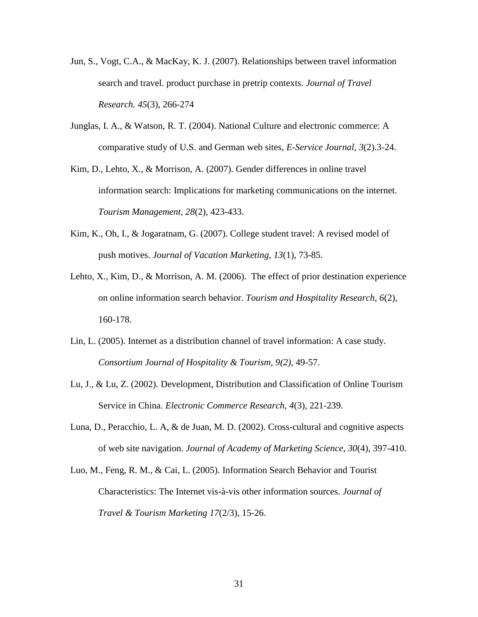- Jun, S., Vogt, C.A., & MacKay, K. J. (2007). Relationships between travel information search and travel. product purchase in pretrip contexts. *Journal of Travel Research. 45*(3), 266-274
- Junglas, I. A., & Watson, R. T. (2004). National Culture and electronic commerce: A comparative study of U.S. and German web sites, *E-Service Journal*, *3*(2).3-24.
- Kim, D., Lehto, X., & Morrison, A. (2007). Gender differences in online travel information search: Implications for marketing communications on the internet. *Tourism Management, 28*(2), 423-433.
- Kim, K., Oh, I., & Jogaratnam, G. (2007). College student travel: A revised model of push motives. *Journal of Vacation Marketing, 13*(1), 73-85.
- Lehto, X., Kim, D., & Morrison, A. M. (2006). The effect of prior destination experience on online information search behavior. *Tourism and Hospitality Research, 6*(2), 160-178.
- Lin, L. (2005). Internet as a distribution channel of travel information: A case study. *Consortium Journal of Hospitality & Tourism, 9(2),* 49-57.
- Lu, J., & Lu, Z. (2002). Development, Distribution and Classification of Online Tourism Service in China. *Electronic Commerce Research, 4*(3), 221-239.
- Luna, D., Peracchio, L. A, & de Juan, M. D. (2002). Cross-cultural and cognitive aspects of web site navigation. *Journal of Academy of Marketing Science, 30*(4), 397-410.
- Luo, M., Feng, R. M., & Cai, L. (2005). Information Search Behavior and Tourist Characteristics: The Internet vis-à-vis other information sources. *Journal of Travel & Tourism Marketing 17*(2/3), 15-26.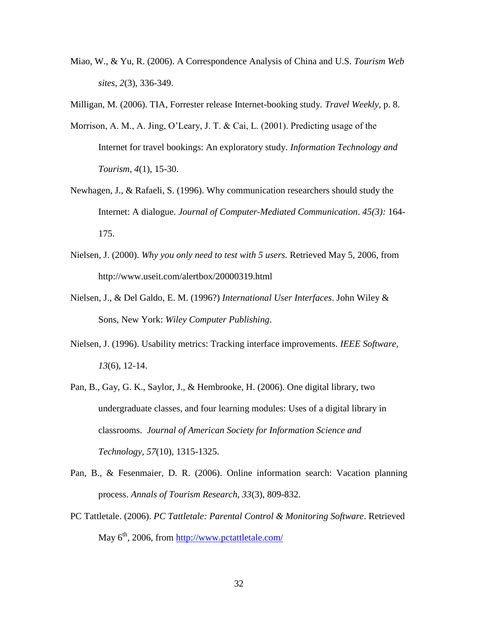Miao, W., & Yu, R. (2006). A Correspondence Analysis of China and U.S. *Tourism Web sites, 2*(3), 336-349.

Milligan, M. (2006). TIA, Forrester release Internet-booking study*. Travel Weekly,* p. 8.

- Morrison, A. M., A. Jing, O'Leary, J. T. & Cai, L. (2001). Predicting usage of the Internet for travel bookings: An exploratory study. *Information Technology and Tourism, 4*(1), 15-30.
- Newhagen, J., & Rafaeli, S. (1996). Why communication researchers should study the Internet: A dialogue. *Journal of Computer-Mediated Communication*. *45(3):* 164- 175.
- Nielsen, J. (2000). *Why you only need to test with 5 users.* Retrieved May 5, 2006, from http://www.useit.com/alertbox/20000319.html
- Nielsen, J., & Del Galdo, E. M. (1996?) *International User Interfaces*. John Wiley & Sons, New York: *Wiley Computer Publishing*.
- Nielsen, J. (1996). Usability metrics: Tracking interface improvements. *IEEE Software, 13*(6), 12-14.
- Pan, B., Gay, G. K., Saylor, J., & Hembrooke, H. (2006). One digital library, two undergraduate classes, and four learning modules: Uses of a digital library in classrooms. *Journal of American Society for Information Science and Technology, 57*(10), 1315-1325.
- Pan, B., & Fesenmaier, D. R. (2006). Online information search: Vacation planning process. *Annals of Tourism Research, 33*(3), 809-832.
- PC Tattletale. (2006). *PC Tattletale: Parental Control & Monitoring Software*. Retrieved May  $6<sup>th</sup>$ , 2006, from<http://www.pctattletale.com/>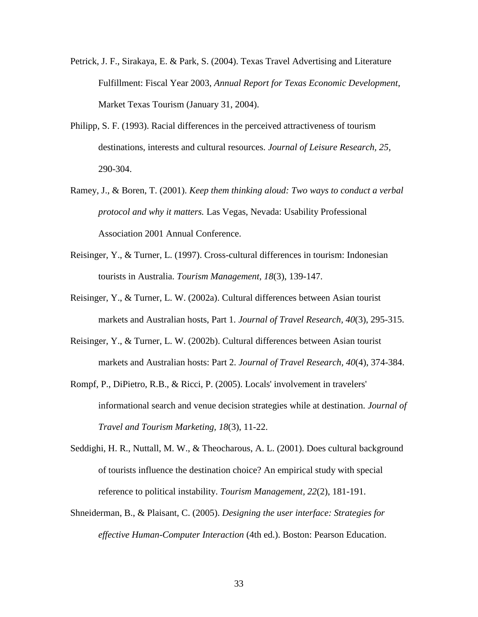- Petrick, J. F., Sirakaya, E. & Park, S. (2004). Texas Travel Advertising and Literature Fulfillment: Fiscal Year 2003, *Annual Report for Texas Economic Development*, Market Texas Tourism (January 31, 2004).
- Philipp, S. F. (1993). Racial differences in the perceived attractiveness of tourism destinations, interests and cultural resources. *Journal of Leisure Research, 25*, 290-304.
- Ramey, J., & Boren, T. (2001). *Keep them thinking aloud: Two ways to conduct a verbal protocol and why it matters.* Las Vegas, Nevada: Usability Professional Association 2001 Annual Conference.
- Reisinger, Y., & Turner, L. (1997). Cross-cultural differences in tourism: Indonesian tourists in Australia. *Tourism Management, 18*(3), 139-147.
- Reisinger, Y., & Turner, L. W. (2002a). Cultural differences between Asian tourist markets and Australian hosts, Part 1. *Journal of Travel Research, 40*(3), 295-315.
- Reisinger, Y., & Turner, L. W. (2002b). Cultural differences between Asian tourist markets and Australian hosts: Part 2. *Journal of Travel Research, 40*(4), 374-384.
- Rompf, P., DiPietro, R.B., & Ricci, P. (2005). Locals' involvement in travelers' informational search and venue decision strategies while at destination. *Journal of Travel and Tourism Marketing, 18*(3), 11-22.
- Seddighi, H. R., Nuttall, M. W., & Theocharous, A. L. (2001). Does cultural background of tourists influence the destination choice? An empirical study with special reference to political instability. *Tourism Management, 22*(2), 181-191.
- Shneiderman, B., & Plaisant, C. (2005). *Designing the user interface: Strategies for effective Human-Computer Interaction* (4th ed.). Boston: Pearson Education.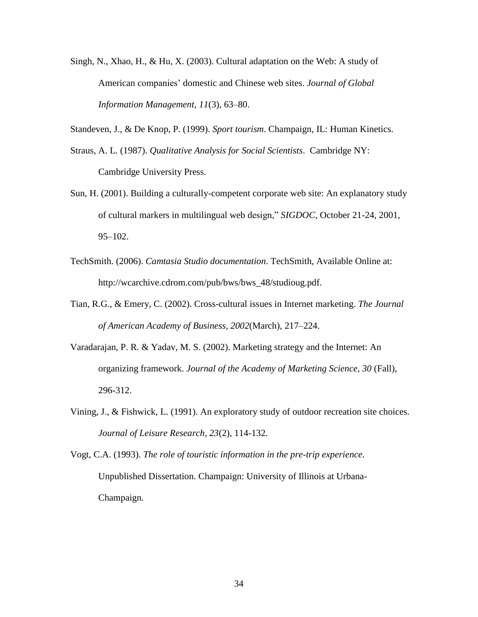Singh, N., Xhao, H., & Hu, X. (2003). Cultural adaptation on the Web: A study of American companies' domestic and Chinese web sites. *Journal of Global Information Management*, *11*(3), 63–80.

Standeven, J., & De Knop, P. (1999). *Sport tourism*. Champaign, IL: Human Kinetics.

- Straus, A. L. (1987). *Qualitative Analysis for Social Scientists*. Cambridge NY: Cambridge University Press.
- Sun, H. (2001). Building a culturally-competent corporate web site: An explanatory study of cultural markers in multilingual web design," *SIGDOC*, October 21-24, 2001, 95–102.
- TechSmith. (2006). *Camtasia Studio documentation*. TechSmith, Available Online at: http://wcarchive.cdrom.com/pub/bws/bws\_48/studioug.pdf.
- Tian, R.G., & Emery, C. (2002). Cross-cultural issues in Internet marketing. *The Journal of American Academy of Business*, *2002*(March), 217–224.
- Varadarajan, P. R. & Yadav, M. S. (2002). Marketing strategy and the Internet: An organizing framework. *Journal of the Academy of Marketing Science, 30* (Fall), 296-312.
- Vining, J., & Fishwick, L. (1991). An exploratory study of outdoor recreation site choices. *Journal of Leisure Research, 23*(2), 114-132.

Vogt, C.A. (1993). *The role of touristic information in the pre-trip experience*. Unpublished Dissertation. Champaign: University of Illinois at Urbana-Champaign.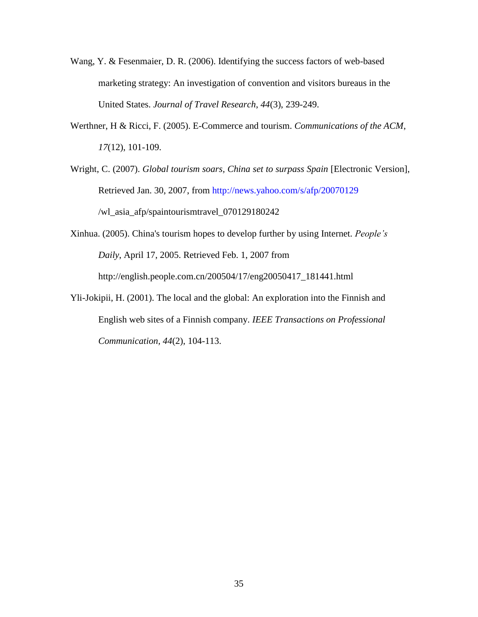- Wang, Y. & Fesenmaier, D. R. (2006). Identifying the success factors of web-based marketing strategy: An investigation of convention and visitors bureaus in the United States. *Journal of Travel Research*, *44*(3), 239-249.
- Werthner, H & Ricci, F. (2005). E-Commerce and tourism. *Communications of the ACM*, *17*(12), 101-109.
- Wright, C. (2007). *Global tourism soars, China set to surpass Spain* [Electronic Version], Retrieved Jan. 30, 2007, from <http://news.yahoo.com/s/afp/20070129> /wl\_asia\_afp/spaintourismtravel\_070129180242
- Xinhua. (2005). China's tourism hopes to develop further by using Internet. *People's Daily*, April 17, 2005. Retrieved Feb. 1, 2007 from http://english.people.com.cn/200504/17/eng20050417\_181441.html
- Yli-Jokipii, H. (2001). The local and the global: An exploration into the Finnish and English web sites of a Finnish company. *IEEE Transactions on Professional Communication, 44*(2), 104-113.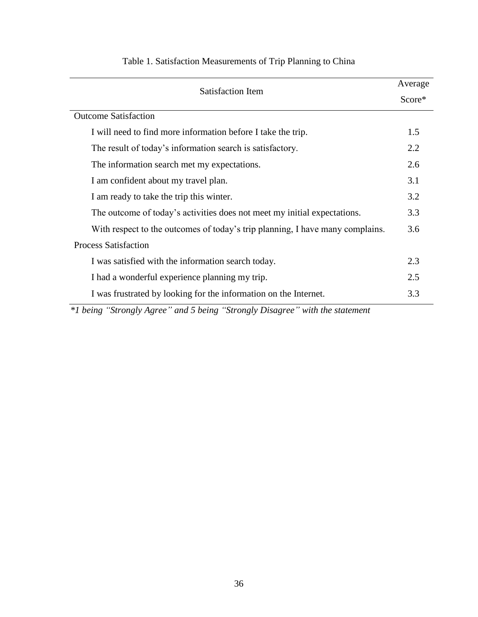| Satisfaction Item                                                             |     |                             |
|-------------------------------------------------------------------------------|-----|-----------------------------|
|                                                                               |     | <b>Outcome Satisfaction</b> |
| I will need to find more information before I take the trip.                  | 1.5 |                             |
| The result of today's information search is satisfactory.                     | 2.2 |                             |
| The information search met my expectations.                                   |     |                             |
| I am confident about my travel plan.                                          | 3.1 |                             |
| I am ready to take the trip this winter.                                      |     |                             |
| The outcome of today's activities does not meet my initial expectations.      |     |                             |
| With respect to the outcomes of today's trip planning, I have many complains. |     |                             |
| <b>Process Satisfaction</b>                                                   |     |                             |
| I was satisfied with the information search today.                            | 2.3 |                             |
| I had a wonderful experience planning my trip.                                |     |                             |
| I was frustrated by looking for the information on the Internet.              | 3.3 |                             |

# Table 1. Satisfaction Measurements of Trip Planning to China

*\*1 being "Strongly Agree" and 5 being "Strongly Disagree" with the statement*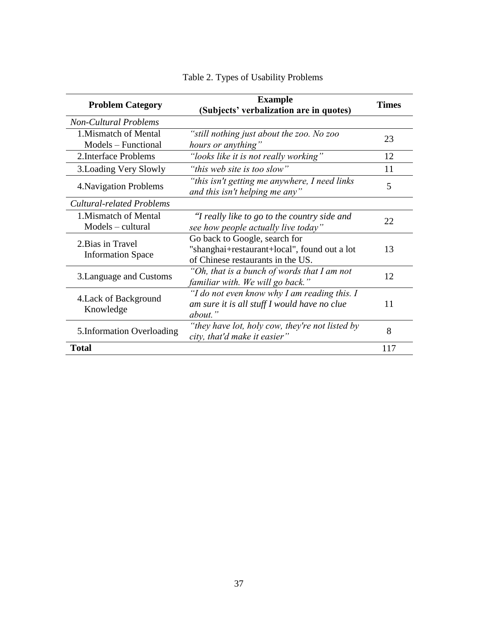| <b>Problem Category</b>                       | <b>Example</b><br>(Subjects' verbalization are in quotes)                                                          | <b>Times</b> |
|-----------------------------------------------|--------------------------------------------------------------------------------------------------------------------|--------------|
| <b>Non-Cultural Problems</b>                  |                                                                                                                    |              |
| 1. Mismatch of Mental<br>Models – Functional  | "still nothing just about the zoo. No zoo<br>hours or anything"                                                    | 23           |
| 2. Interface Problems                         | "looks like it is not really working"                                                                              | 12           |
| 3. Loading Very Slowly                        | "this web site is too slow"                                                                                        | 11           |
| 4. Navigation Problems                        | "this isn't getting me anywhere, I need links<br>and this isn't helping me any"                                    | 5            |
| Cultural-related Problems                     |                                                                                                                    |              |
| 1. Mismatch of Mental<br>Models – cultural    | "I really like to go to the country side and<br>see how people actually live today"                                | 22           |
| 2. Bias in Travel<br><b>Information Space</b> | Go back to Google, search for<br>"shanghai+restaurant+local", found out a lot<br>of Chinese restaurants in the US. | 13           |
| 3. Language and Customs                       | "Oh, that is a bunch of words that I am not<br>familiar with. We will go back."                                    | 12           |
| 4. Lack of Background<br>Knowledge            | "I do not even know why I am reading this. I<br>am sure it is all stuff I would have no clue<br>about."            | 11           |
| 5. Information Overloading                    | "they have lot, holy cow, they're not listed by<br>city, that'd make it easier"                                    | 8            |
| <b>Total</b>                                  |                                                                                                                    | 117          |

Table 2. Types of Usability Problems